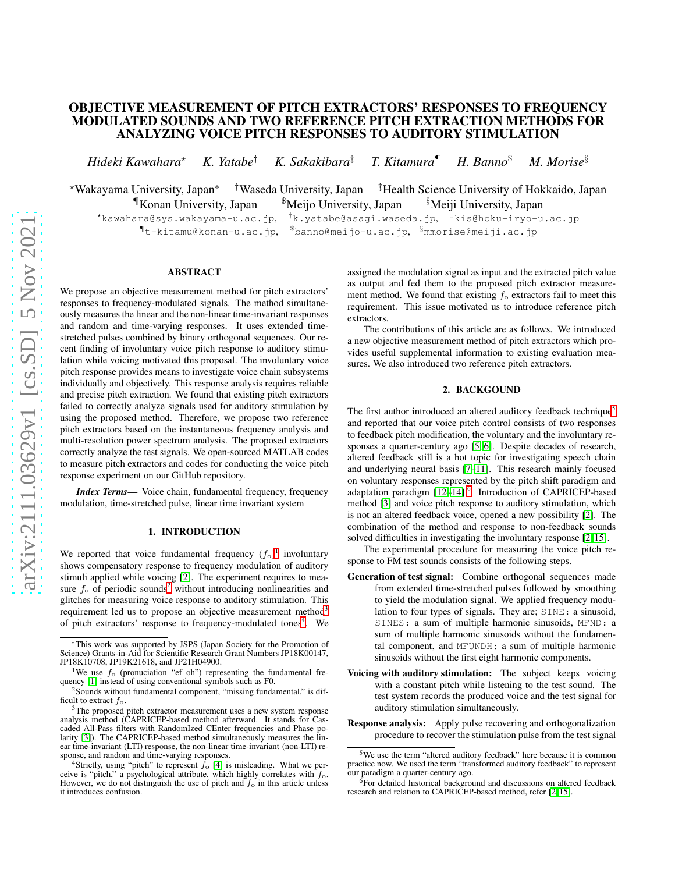# OBJECTIVE MEASUREMENT OF PITCH EXTRACTORS' RESPONSES TO FREQUENCY MODULATED SOUNDS AND TWO REFERENCE PITCH EXTRACTION METHODS FOR ANALYZING VOICE PITCH RESPONSES TO AUDITORY STIMULATION

*Hideki Kawahara*<sup>⋆</sup> *K. Yatabe*† *K. Sakakibara*‡ *T. Kitamura*¶ *H. Banno*\$ *M. Morise*§

<sup>⋆</sup>Wakayama University, Japan∗ †Waseda University, Japan ‡Health Science University of Hokkaido, Japan ¶Konan University, Japan \$Meijo University, Japan §Meiji University, Japan

<sup>⋆</sup>kawahara@sys.wakayama-u.ac.jp, †k.yatabe@asagi.waseda.jp, ‡kis@hoku-iryo-u.ac.jp  $\P$ t-kitamu@konan-u.ac.jp,  $^{\$}$ banno@meijo-u.ac.jp,  $^{\$}$ mmorise@meiji.ac.jp

# ABSTRACT

We propose an objective measurement method for pitch extractors' responses to frequency-modulated signals. The method simultaneously measures the linear and the non-linear time-invariant responses and random and time-varying responses. It uses extended timestretched pulses combined by binary orthogonal sequences. Our recent finding of involuntary voice pitch response to auditory stimulation while voicing motivated this proposal. The involuntary voice pitch response provides means to investigate voice chain subsystems individually and objectively. This response analysis requires reliable and precise pitch extraction. We found that existing pitch extractors failed to correctly analyze signals used for auditory stimulation by using the proposed method. Therefore, we propose two reference pitch extractors based on the instantaneous frequency analysis and multi-resolution power spectrum analysis. The proposed extractors correctly analyze the test signals. We open-sourced MATLAB codes to measure pitch extractors and codes for conducting the voice pitch response experiment on our GitHub repository.

*Index Terms*— Voice chain, fundamental frequency, frequency modulation, time-stretched pulse, linear time invariant system

# 1. INTRODUCTION

We reported that voice fundamental frequency  $(f_0)^1$  $(f_0)^1$  involuntary shows compensatory response to frequency modulation of auditory stimuli applied while voicing [\[2\]](#page-4-0). The experiment requires to measure  $f_0$  of periodic sounds<sup>[2](#page-0-1)</sup> without introducing nonlinearities and glitches for measuring voice response to auditory stimulation. This requirement led us to propose an objective measurement method<sup>[3](#page-0-2)</sup> of pitch extractors' response to frequency-modulated tones<sup>[4](#page-0-3)</sup>. We

assigned the modulation signal as input and the extracted pitch value as output and fed them to the proposed pitch extractor measurement method. We found that existing  $f_0$  extractors fail to meet this requirement. This issue motivated us to introduce reference pitch extractors.

The contributions of this article are as follows. We introduced a new objective measurement method of pitch extractors which provides useful supplemental information to existing evaluation measures. We also introduced two reference pitch extractors.

# 2. BACKGOUND

The first author introduced an altered auditory feedback technique<sup>[5](#page-0-4)</sup> and reported that our voice pitch control consists of two responses to feedback pitch modification, the voluntary and the involuntary responses a quarter-century ago [\[5,](#page-4-3) [6\]](#page-4-4). Despite decades of research, altered feedback still is a hot topic for investigating speech chain and underlying neural basis [\[7–](#page-4-5)[11\]](#page-4-6). This research mainly focused on voluntary responses represented by the pitch shift paradigm and adaptation paradigm [\[12](#page-4-7)-14].<sup>[6](#page-0-5)</sup> Introduction of CAPRICEP-based method [\[3\]](#page-4-1) and voice pitch response to auditory stimulation, which is not an altered feedback voice, opened a new possibility [\[2\]](#page-4-0). The combination of the method and response to non-feedback sounds solved difficulties in investigating the involuntary response [\[2,](#page-4-0) [15\]](#page-4-9).

The experimental procedure for measuring the voice pitch response to FM test sounds consists of the following steps.

- Generation of test signal: Combine orthogonal sequences made from extended time-stretched pulses followed by smoothing to yield the modulation signal. We applied frequency modulation to four types of signals. They are; SINE: a sinusoid, SINES: a sum of multiple harmonic sinusoids, MFND: a sum of multiple harmonic sinusoids without the fundamental component, and MFUNDH: a sum of multiple harmonic sinusoids without the first eight harmonic components.
- Voicing with auditory stimulation: The subject keeps voicing with a constant pitch while listening to the test sound. The test system records the produced voice and the test signal for auditory stimulation simultaneously.
- Response analysis: Apply pulse recovering and orthogonalization procedure to recover the stimulation pulse from the test signal

<sup>∗</sup>This work was supported by JSPS (Japan Society for the Promotion of Science) Grants-in-Aid for Scientific Research Grant Numbers JP18K00147, JP18K10708, JP19K21618, and JP21H04900.

<sup>&</sup>lt;sup>1</sup>We use  $f_0$  (pronuciation "ef oh") representing the fundamental frequency [\[1\]](#page-3-0) instead of using conventional symbols such as F0.

<span id="page-0-1"></span><span id="page-0-0"></span><sup>2</sup>Sounds without fundamental component, "missing fundamental," is difficult to extract  $f_0$ .

<span id="page-0-2"></span> $3$ The proposed pitch extractor measurement uses a new system response analysis method (CAPRICEP-based method afterward. It stands for Cascaded All-Pass filters with RandomIzed CEnter frequencies and Phase po-larity [\[3\]](#page-4-1)). The CAPRICEP-based method simultaneously measures the linear time-invariant (LTI) response, the non-linear time-invariant (non-LTI) response, and random and time-varying responses.

<span id="page-0-3"></span><sup>&</sup>lt;sup>4</sup>Strictly, using "pitch" to represent  $f_0$  [\[4\]](#page-4-2) is misleading. What we perceive is "pitch," a psychological attribute, which highly correlates with  $f_0$ . However, we do not distinguish the use of pitch and  $f_0$  in this article unless it introduces confusion.

<span id="page-0-4"></span><sup>&</sup>lt;sup>5</sup>We use the term "altered auditory feedback" here because it is common practice now. We used the term "transformed auditory feedback" to represent our paradigm a quarter-century ago.

<span id="page-0-5"></span><sup>&</sup>lt;sup>6</sup>For detailed historical background and discussions on altered feedback research and relation to CAPRICEP-based method, refer [\[2,](#page-4-0) [15\]](#page-4-9).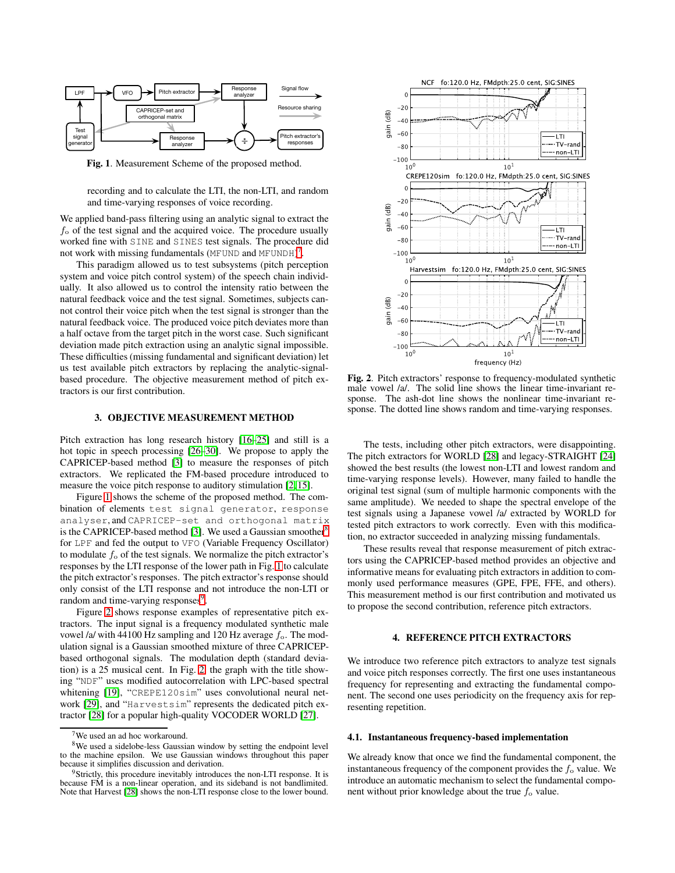

<span id="page-1-1"></span>Fig. 1. Measurement Scheme of the proposed method.

recording and to calculate the LTI, the non-LTI, and random and time-varying responses of voice recording.

We applied band-pass filtering using an analytic signal to extract the  $f<sub>o</sub>$  of the test signal and the acquired voice. The procedure usually worked fine with SINE and SINES test signals. The procedure did not work with missing fundamentals (MFUND and MFUNDH)<sup>[7](#page-1-0)</sup>.

This paradigm allowed us to test subsystems (pitch perception system and voice pitch control system) of the speech chain individually. It also allowed us to control the intensity ratio between the natural feedback voice and the test signal. Sometimes, subjects cannot control their voice pitch when the test signal is stronger than the natural feedback voice. The produced voice pitch deviates more than a half octave from the target pitch in the worst case. Such significant deviation made pitch extraction using an analytic signal impossible. These difficulties (missing fundamental and significant deviation) let us test available pitch extractors by replacing the analytic-signalbased procedure. The objective measurement method of pitch extractors is our first contribution.

## 3. OBJECTIVE MEASUREMENT METHOD

Pitch extraction has long research history [\[16](#page-4-10)[–25\]](#page-4-11) and still is a hot topic in speech processing [\[26–](#page-4-12)[30\]](#page-4-13). We propose to apply the CAPRICEP-based method [\[3\]](#page-4-1) to measure the responses of pitch extractors. We replicated the FM-based procedure introduced to measure the voice pitch response to auditory stimulation [\[2,](#page-4-0) [15\]](#page-4-9).

Figure [1](#page-1-1) shows the scheme of the proposed method. The combination of elements test signal generator, response analyser, and CAPRICEP-set and orthogonal matrix is the CAPRICEP-based method [\[3\]](#page-4-1). We used a Gaussian smoother<sup>[8](#page-1-2)</sup> for LPF and fed the output to VFO (Variable Frequency Oscillator) to modulate  $f<sub>o</sub>$  of the test signals. We normalize the pitch extractor's responses by the LTI response of the lower path in Fig. [1](#page-1-1) to calculate the pitch extractor's responses. The pitch extractor's response should only consist of the LTI response and not introduce the non-LTI or random and time-varying responses<sup>[9](#page-1-3)</sup>.

Figure [2](#page-1-4) shows response examples of representative pitch extractors. The input signal is a frequency modulated synthetic male vowel /a/ with 44100 Hz sampling and 120 Hz average  $f_0$ . The modulation signal is a Gaussian smoothed mixture of three CAPRICEPbased orthogonal signals. The modulation depth (standard deviation) is a 25 musical cent. In Fig. [2,](#page-1-4) the graph with the title showing "NDF" uses modified autocorrelation with LPC-based spectral whitening [\[19\]](#page-4-14), "CREPE120sim" uses convolutional neural network [\[29\]](#page-4-15), and "Harvestsim" represents the dedicated pitch extractor [\[28\]](#page-4-16) for a popular high-quality VOCODER WORLD [\[27\]](#page-4-17).



<span id="page-1-4"></span>Fig. 2. Pitch extractors' response to frequency-modulated synthetic male vowel /a/. The solid line shows the linear time-invariant response. The ash-dot line shows the nonlinear time-invariant response. The dotted line shows random and time-varying responses.

The tests, including other pitch extractors, were disappointing. The pitch extractors for WORLD [\[28\]](#page-4-16) and legacy-STRAIGHT [\[24\]](#page-4-18) showed the best results (the lowest non-LTI and lowest random and time-varying response levels). However, many failed to handle the original test signal (sum of multiple harmonic components with the same amplitude). We needed to shape the spectral envelope of the test signals using a Japanese vowel /a/ extracted by WORLD for tested pitch extractors to work correctly. Even with this modification, no extractor succeeded in analyzing missing fundamentals.

These results reveal that response measurement of pitch extractors using the CAPRICEP-based method provides an objective and informative means for evaluating pitch extractors in addition to commonly used performance measures (GPE, FPE, FFE, and others). This measurement method is our first contribution and motivated us to propose the second contribution, reference pitch extractors.

## 4. REFERENCE PITCH EXTRACTORS

We introduce two reference pitch extractors to analyze test signals and voice pitch responses correctly. The first one uses instantaneous frequency for representing and extracting the fundamental component. The second one uses periodicity on the frequency axis for representing repetition.

#### 4.1. Instantaneous frequency-based implementation

We already know that once we find the fundamental component, the instantaneous frequency of the component provides the  $f_0$  value. We introduce an automatic mechanism to select the fundamental component without prior knowledge about the true  $f_0$  value.

<span id="page-1-2"></span><span id="page-1-0"></span><sup>&</sup>lt;sup>7</sup>We used an ad hoc workaround.

<sup>&</sup>lt;sup>8</sup>We used a sidelobe-less Gaussian window by setting the endpoint level to the machine epsilon. We use Gaussian windows throughout this paper because it simplifies discussion and derivation.

<span id="page-1-3"></span><sup>&</sup>lt;sup>9</sup>Strictly, this procedure inevitably introduces the non-LTI response. It is because FM is a non-linear operation, and its sideband is not bandlimited. Note that Harvest [\[28\]](#page-4-16) shows the non-LTI response close to the lower bound.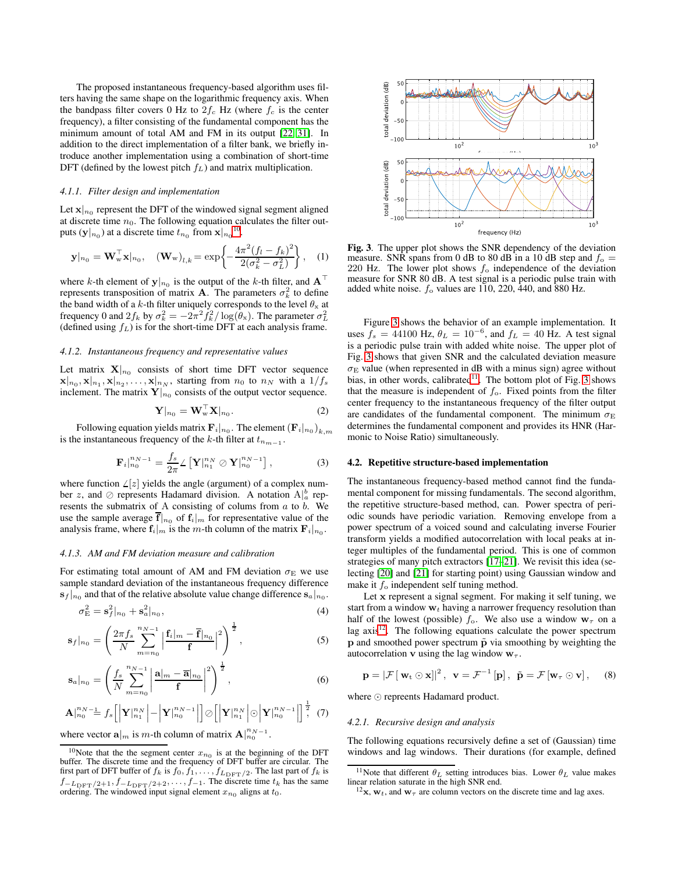The proposed instantaneous frequency-based algorithm uses filters having the same shape on the logarithmic frequency axis. When the bandpass filter covers 0 Hz to  $2f_c$  Hz (where  $f_c$  is the center frequency), a filter consisting of the fundamental component has the minimum amount of total AM and FM in its output [\[22,](#page-4-19) [31\]](#page-4-20). In addition to the direct implementation of a filter bank, we briefly introduce another implementation using a combination of short-time DFT (defined by the lowest pitch  $f<sub>L</sub>$ ) and matrix multiplication.

#### *4.1.1. Filter design and implementation*

Let  $\mathbf{x}|_{n_0}$  represent the DFT of the windowed signal segment aligned at discrete time  $n_0$ . The following equation calculates the filter outputs ( $\mathbf{y}|_{n_0}$ ) at a discrete time  $t_{n_0}$  from  $\mathbf{x}|_{n_0}$ <sup>[10](#page-2-0)</sup>.

$$
\mathbf{y}|_{n_0} = \mathbf{W}_{w}^{\top} \mathbf{x}|_{n_0}, \quad (\mathbf{W}_{w})_{l,k} = \exp\left\{-\frac{4\pi^2(f_l - f_k)^2}{2(\sigma_k^2 - \sigma_L^2)}\right\}, \quad (1)
$$

where k-th element of  $y|_{n_0}$  is the output of the k-th filter, and  $A<sup>T</sup>$ represents transposition of matrix **A**. The parameters  $\sigma_k^2$  to define the band width of a k-th filter uniquely corresponds to the level  $\theta_x$  at frequency 0 and  $2f_k$  by  $\sigma_k^2 = -2\pi^2 f_k^2 / \log(\theta_x)$ . The parameter  $\sigma_L^2$ (defined using  $f_L$ ) is for the short-time DFT at each analysis frame.

#### *4.1.2. Instantaneous frequency and representative values*

Let matrix  $X|_{n_0}$  consists of short time DFT vector sequence  $||\mathbf{x}||_{n_0}, \mathbf{x}|_{n_1}, \mathbf{x}|_{n_2}, \dots, \mathbf{x}|_{n_N}$ , starting from  $n_0$  to  $n_N$  with a  $1/f_s$ inclement. The matrix  $Y|_{n_0}$  consists of the output vector sequence.

$$
\mathbf{Y}|_{n_0} = \mathbf{W}_{\mathbf{w}}^\top \mathbf{X}|_{n_0}.\tag{2}
$$

Following equation yields matrix  $\mathbf{F}_i|_{n_0}$ . The element  $(\mathbf{F}_i|_{n_0})_{k,m}$ is the instantaneous frequency of the k-th filter at  $t_{n_{m-1}}$ .

$$
\mathbf{F}_{i}|_{n_{0}}^{n_{N-1}} = \frac{f_{s}}{2\pi} \angle \left[ \mathbf{Y} \vert_{n_{1}}^{n_{N}} \oslash \mathbf{Y} \vert_{n_{0}}^{n_{N-1}} \right], \tag{3}
$$

where function  $\angle [z]$  yields the angle (argument) of a complex number z, and ⊘ represents Hadamard division. A notation  $A|_a^b$  represents the submatrix of A consisting of colums from  $a$  to  $b$ . We use the sample average  $\mathbf{\bar{f}}|_{n_0}$  of  $\mathbf{f}_i|_m$  for representative value of the analysis frame, where  $f_i|_m$  is the m-th column of the matrix  $F_i|_{n_0}$ .

### *4.1.3. AM and FM deviation measure and calibration*

For estimating total amount of AM and FM deviation  $\sigma_{\rm E}$  we use sample standard deviation of the instantaneous frequency difference  $|\mathbf{s}_f|_{n_0}$  and that of the relative absolute value change difference  $|\mathbf{s}_a|_{n_0}$ .

$$
\sigma_{\rm E}^2 = \mathbf{s}_f^2|_{n_0} + \mathbf{s}_a^2|_{n_0},\tag{4}
$$

$$
\mathbf{s}_{f}|_{n_{0}} = \left(\frac{2\pi f_{s}}{N} \sum_{m=n_{0}}^{n_{N}-1} \left| \frac{\mathbf{f}_{i}|_{m} - \overline{\mathbf{f}}|_{n_{0}}}{\mathbf{f}} \right|^{2} \right)^{\frac{1}{2}},
$$
\n(5)

$$
\mathbf{s}_{a}|_{n_{0}} = \left(\frac{f_{s}}{N} \sum_{m=n_{0}}^{n_{N-1}} \left| \frac{\mathbf{a}|_{m} - \overline{\mathbf{a}}|_{n_{0}}}{\mathbf{f}} \right|^{2} \right)^{\frac{1}{2}},
$$
(6)

$$
\mathbf{A}\Big|_{n_0}^{n_N} = f_s \Big[ \Big| \mathbf{Y} \Big|_{n_1}^{n_N} \Big| - \Big| \mathbf{Y} \Big|_{n_0}^{n_N} - 1 \Big| \Big] \odot \Big[ \Big| \mathbf{Y} \Big|_{n_1}^{n_N} \Big| \odot \Big| \mathbf{Y} \Big|_{n_0}^{n_N} - 1 \Big| \Big]^\frac{1}{2}, \tag{7}
$$

where vector  $\mathbf{a}|_m$  is m-th column of matrix  $\mathbf{A}|_{n_0}^{n_N-1}$ .



<span id="page-2-1"></span>Fig. 3. The upper plot shows the SNR dependency of the deviation measure. SNR spans from 0 dB to 80 dB in a 10 dB step and  $f_0 =$ 220 Hz. The lower plot shows  $f_0$  independence of the deviation measure for SNR 80 dB. A test signal is a periodic pulse train with added white noise.  $f_0$  values are 110, 220, 440, and 880 Hz.

Figure [3](#page-2-1) shows the behavior of an example implementation. It uses  $f_s = 44100$  Hz,  $\theta_L = 10^{-6}$ , and  $f_L = 40$  Hz. A test signal is a periodic pulse train with added white noise. The upper plot of Fig. [3](#page-2-1) shows that given SNR and the calculated deviation measure  $\sigma_E$  value (when represented in dB with a minus sign) agree without bias, in other words, calibrated $11$ . The bottom plot of Fig. [3](#page-2-1) shows that the measure is independent of  $f<sub>o</sub>$ . Fixed points from the filter center frequency to the instantaneous frequency of the filter output are candidates of the fundamental component. The minimum  $\sigma_{\rm E}$ determines the fundamental component and provides its HNR (Harmonic to Noise Ratio) simultaneously.

## 4.2. Repetitive structure-based implementation

The instantaneous frequency-based method cannot find the fundamental component for missing fundamentals. The second algorithm, the repetitive structure-based method, can. Power spectra of periodic sounds have periodic variation. Removing envelope from a power spectrum of a voiced sound and calculating inverse Fourier transform yields a modified autocorrelation with local peaks at integer multiples of the fundamental period. This is one of common strategies of many pitch extractors [\[17](#page-4-21)[–21\]](#page-4-22). We revisit this idea (selecting [\[20\]](#page-4-23) and [\[21\]](#page-4-22) for starting point) using Gaussian window and make it  $f_0$  independent self tuning method.

Let x represent a signal segment. For making it self tuning, we start from a window  $w_t$  having a narrower frequency resolution than half of the lowest (possible)  $f_0$ . We also use a window  $w_\tau$  on a lag  $axis<sup>12</sup>$  $axis<sup>12</sup>$  $axis<sup>12</sup>$ . The following equations calculate the power spectrum  $p$  and smoothed power spectrum  $\tilde{p}$  via smoothing by weighting the autocorrelation **v** using the lag window  $w_{\tau}$ .

$$
\mathbf{p} = |\mathcal{F}[\mathbf{w}_t \odot \mathbf{x}]|^2, \ \mathbf{v} = \mathcal{F}^{-1}[\mathbf{p}], \ \tilde{\mathbf{p}} = \mathcal{F}[\mathbf{w}_\tau \odot \mathbf{v}], \quad (8)
$$

where ⊙ repreents Hadamard product.

#### *4.2.1. Recursive design and analysis*

The following equations recursively define a set of (Gaussian) time windows and lag windows. Their durations (for example, defined

<span id="page-2-0"></span><sup>&</sup>lt;sup>10</sup>Note that the the segment center  $x_{n_0}$  is at the beginning of the DFT buffer. The discrete time and the frequency of DFT buffer are circular. The first part of DFT buffer of  $f_k$  is  $f_0, f_1, \ldots, f_{L_{\text{DFT}}/2}$ . The last part of  $f_k$  is  $f_{-L<sub>DFT</sub>/2+1}, f_{-L<sub>DFT</sub>/2+2}, \ldots, f_{-1}$ . The discrete time  $t_k$  has the same ordering. The windowed input signal element  $x_{n_0}$  aligns at  $t_0$ .

<sup>&</sup>lt;sup>11</sup>Note that different  $\theta_L$  setting introduces bias. Lower  $\theta_L$  value makes linear relation saturate in the high SNR end.

<span id="page-2-3"></span><span id="page-2-2"></span> $^{12}$ **x**, **w**<sub>t</sub>, and **w**<sub> $\tau$ </sub> are column vectors on the discrete time and lag axes.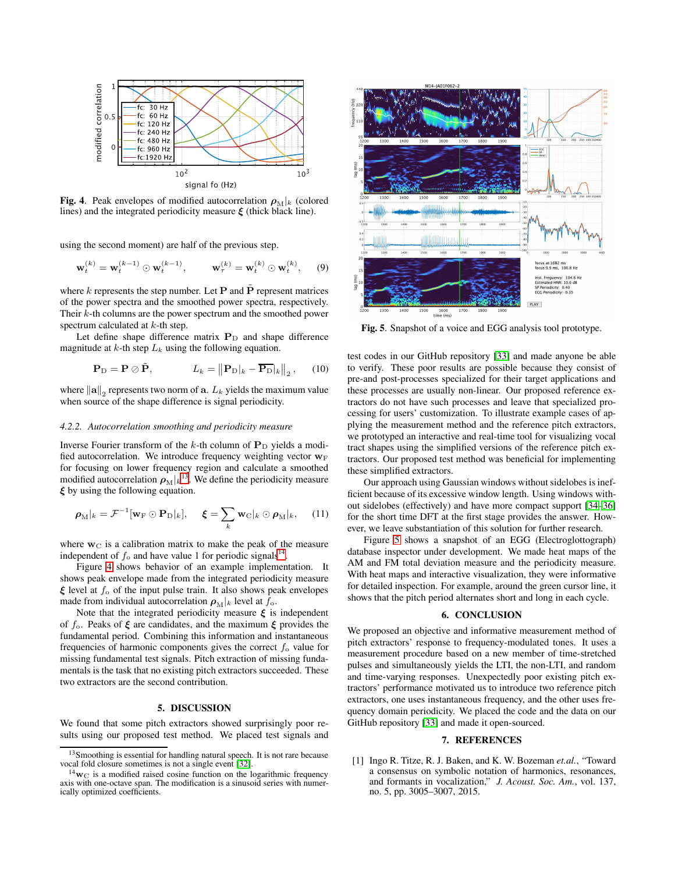

<span id="page-3-3"></span>Fig. 4. Peak envelopes of modified autocorrelation  $\rho_M|_k$  (colored lines) and the integrated periodicity measure  $\xi$  (thick black line).

using the second moment) are half of the previous step.

$$
\mathbf{w}_t^{(k)} = \mathbf{w}_t^{(k-1)} \odot \mathbf{w}_t^{(k-1)}, \qquad \mathbf{w}_\tau^{(k)} = \mathbf{w}_t^{(k)} \odot \mathbf{w}_t^{(k)}, \qquad (9)
$$

where k represents the step number. Let  $P$  and  $\tilde{P}$  represent matrices of the power spectra and the smoothed power spectra, respectively. Their k-th columns are the power spectrum and the smoothed power spectrum calculated at  $k$ -th step.

Let define shape difference matrix  $P_D$  and shape difference magnitude at k-th step  $L_k$  using the following equation.

$$
\mathbf{P}_{\mathrm{D}} = \mathbf{P} \oslash \tilde{\mathbf{P}}, \qquad L_k = \left\| \mathbf{P}_{\mathrm{D}} \right\|_{k} - \overline{\mathbf{P}_{\mathrm{D}}} \left\|_{2}, \qquad (10)
$$

where  $\left\| {\mathbf{a}} \right\|_2$  represents two norm of  ${\mathbf{a}}$ .  $L_k$  yields the maximum value when source of the shape difference is signal periodicity.

#### *4.2.2. Autocorrelation smoothing and periodicity measure*

Inverse Fourier transform of the k-th column of  $P_D$  yields a modified autocorrelation. We introduce frequency weighting vector  $w_F$ for focusing on lower frequency region and calculate a smoothed modified autocorrelation  $\rho_M |k|^{3}$ . We define the periodicity measure  $\xi$  by using the following equation.

$$
\boldsymbol{\rho}_{\mathrm{M}}|_{k} = \mathcal{F}^{-1}[\mathbf{w}_{\mathrm{F}} \odot \mathbf{P}_{\mathrm{D}}|_{k}], \quad \boldsymbol{\xi} = \sum_{k} \mathbf{w}_{\mathrm{C}}|_{k} \odot \boldsymbol{\rho}_{\mathrm{M}}|_{k}, \quad (11)
$$

where  $w_C$  is a calibration matrix to make the peak of the measure independent of  $f_0$  and have value 1 for periodic signals<sup>[14](#page-3-2)</sup>.

Figure [4](#page-3-3) shows behavior of an example implementation. It shows peak envelope made from the integrated periodicity measure  $\xi$  level at  $f_0$  of the input pulse train. It also shows peak envelopes made from individual autocorrelation  $\rho_M|_k$  level at  $f_0$ .

Note that the integrated periodicity measure  $\xi$  is independent of  $f_0$ . Peaks of  $\xi$  are candidates, and the maximum  $\xi$  provides the fundamental period. Combining this information and instantaneous frequencies of harmonic components gives the correct  $f_0$  value for missing fundamental test signals. Pitch extraction of missing fundamentals is the task that no existing pitch extractors succeeded. These two extractors are the second contribution.

# 5. DISCUSSION

We found that some pitch extractors showed surprisingly poor results using our proposed test method. We placed test signals and



<span id="page-3-4"></span>Fig. 5. Snapshot of a voice and EGG analysis tool prototype.

test codes in our GitHub repository [\[33\]](#page-4-25) and made anyone be able to verify. These poor results are possible because they consist of pre-and post-processes specialized for their target applications and these processes are usually non-linear. Our proposed reference extractors do not have such processes and leave that specialized processing for users' customization. To illustrate example cases of applying the measurement method and the reference pitch extractors, we prototyped an interactive and real-time tool for visualizing vocal tract shapes using the simplified versions of the reference pitch extractors. Our proposed test method was beneficial for implementing these simplified extractors.

Our approach using Gaussian windows without sidelobes is inefficient because of its excessive window length. Using windows without sidelobes (effectively) and have more compact support [\[34–](#page-4-26)[36\]](#page-4-27) for the short time DFT at the first stage provides the answer. However, we leave substantiation of this solution for further research.

Figure [5](#page-3-4) shows a snapshot of an EGG (Electroglottograph) database inspector under development. We made heat maps of the AM and FM total deviation measure and the periodicity measure. With heat maps and interactive visualization, they were informative for detailed inspection. For example, around the green cursor line, it shows that the pitch period alternates short and long in each cycle.

## 6. CONCLUSION

We proposed an objective and informative measurement method of pitch extractors' response to frequency-modulated tones. It uses a measurement procedure based on a new member of time-stretched pulses and simultaneously yields the LTI, the non-LTI, and random and time-varying responses. Unexpectedly poor existing pitch extractors' performance motivated us to introduce two reference pitch extractors, one uses instantaneous frequency, and the other uses frequency domain periodicity. We placed the code and the data on our GitHub repository [\[33\]](#page-4-25) and made it open-sourced.

## 7. REFERENCES

<span id="page-3-0"></span>[1] Ingo R. Titze, R. J. Baken, and K. W. Bozeman *et.al.*, "Toward a consensus on symbolic notation of harmonics, resonances, and formants in vocalization," *J. Acoust. Soc. Am.*, vol. 137, no. 5, pp. 3005–3007, 2015.

<sup>&</sup>lt;sup>13</sup>Smoothing is essential for handling natural speech. It is not rare because vocal fold closure sometimes is not a single event [\[32\]](#page-4-24).

<span id="page-3-2"></span><span id="page-3-1"></span> $14_{\rm W}$  is a modified raised cosine function on the logarithmic frequency axis with one-octave span. The modification is a sinusoid series with numerically optimized coefficients.